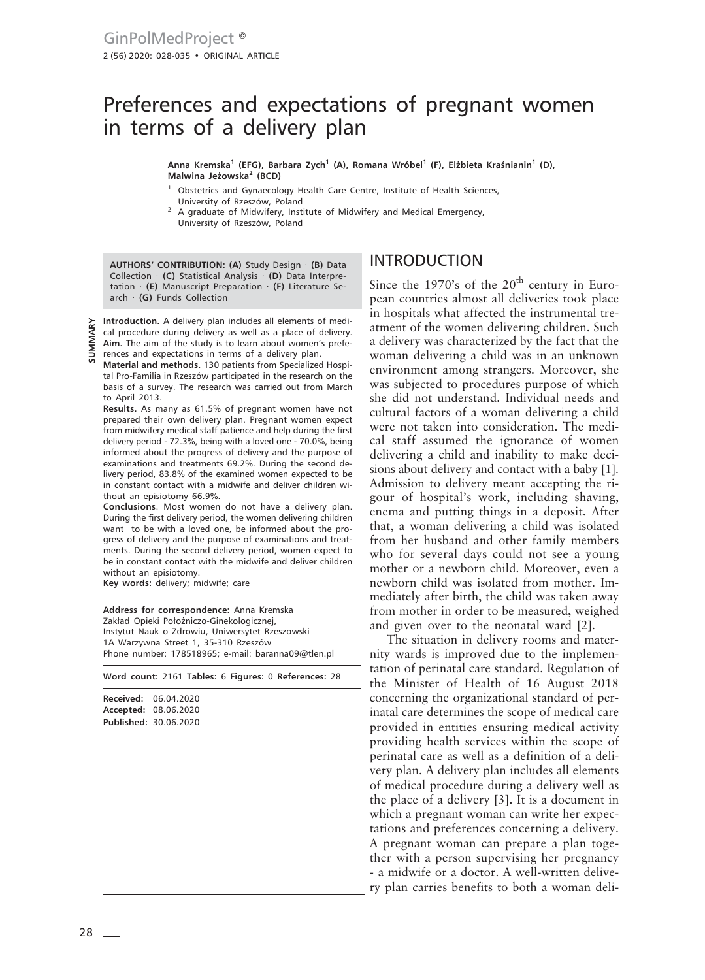# Preferences and expectations of pregnant women in terms of a delivery plan

**Anna Kremska1 (EFG), Barbara Zych1 (A), Romana Wróbel1 (F), Elżbieta Kraśnianin<sup>1</sup> (D), Malwina Jeżowska<sup>2</sup> (BCD)**

- <sup>1</sup> Obstetrics and Gynaecology Health Care Centre, Institute of Health Sciences, University of Rzeszów, Poland
- 2 A graduate of Midwifery, Institute of Midwifery and Medical Emergency, University of Rzeszów, Poland

**AUTHORS' CONTRIBUTION: (A)** Study Design · **(B)** Data Collection · **(C)** Statistical Analysis · **(D)** Data Interpretation · **(E)** Manuscript Preparation · **(F)** Literature Search · **(G)** Funds Collection

**Introduction.** A delivery plan includes all elements of medical procedure during delivery as well as a place of delivery. **Aim.** The aim of the study is to learn about women's preferences and expectations in terms of a delivery plan.

**Material and methods.** 130 patients from Specialized Hospital Pro-Familia in Rzeszów participated in the research on the basis of a survey. The research was carried out from March to April 2013.

**Results.** As many as 61.5% of pregnant women have not prepared their own delivery plan. Pregnant women expect from midwifery medical staff patience and help during the first delivery period - 72.3%, being with a loved one - 70.0%, being informed about the progress of delivery and the purpose of examinations and treatments 69.2%. During the second delivery period, 83.8% of the examined women expected to be in constant contact with a midwife and deliver children without an episiotomy 66.9%.

**Conclusions**. Most women do not have a delivery plan. During the first delivery period, the women delivering children want to be with a loved one, be informed about the progress of delivery and the purpose of examinations and treatments. During the second delivery period, women expect to be in constant contact with the midwife and deliver children without an episiotomy.

**Key words:** delivery; midwife; care

**Address for correspondence:** Anna Kremska Zakład Opieki Położniczo-Ginekologicznej, Instytut Nauk o Zdrowiu, Uniwersytet Rzeszowski 1A Warzywna Street 1, 35-310 Rzeszów Phone number: 178518965; e-mail: baranna09@tlen.pl

**Word count:** 2161 **Tables:** 6 **Figures:** 0 **References:** 28

**Received:** 06.04.2020 **Accepted:** 08.06.2020 **Published:** 30.06.2020

### INTRODUCTION

Since the 1970's of the  $20<sup>th</sup>$  century in European countries almost all deliveries took place in hospitals what affected the instrumental treatment of the women delivering children. Such a delivery was characterized by the fact that the woman delivering a child was in an unknown environment among strangers. Moreover, she was subjected to procedures purpose of which she did not understand. Individual needs and cultural factors of a woman delivering a child were not taken into consideration. The medical staff assumed the ignorance of women delivering a child and inability to make decisions about delivery and contact with a baby [1]. Admission to delivery meant accepting the rigour of hospital's work, including shaving, enema and putting things in a deposit. After that, a woman delivering a child was isolated from her husband and other family members who for several days could not see a young mother or a newborn child. Moreover, even a newborn child was isolated from mother. Immediately after birth, the child was taken away from mother in order to be measured, weighed and given over to the neonatal ward [2].

The situation in delivery rooms and maternity wards is improved due to the implementation of perinatal care standard. Regulation of the Minister of Health of 16 August 2018 concerning the organizational standard of perinatal care determines the scope of medical care provided in entities ensuring medical activity providing health services within the scope of perinatal care as well as a definition of a delivery plan. A delivery plan includes all elements of medical procedure during a delivery well as the place of a delivery [3]. It is a document in which a pregnant woman can write her expectations and preferences concerning a delivery. A pregnant woman can prepare a plan together with a person supervising her pregnancy - a midwife or a doctor. A well-written delivery plan carries benefits to both a woman deli-

**SUMMARY**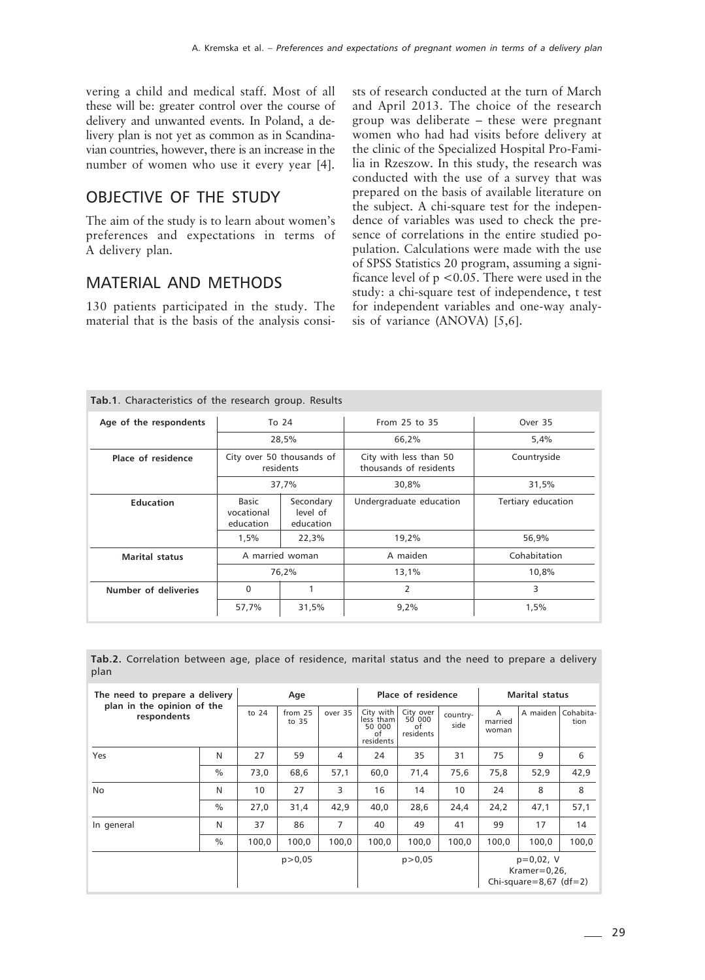vering a child and medical staff. Most of all these will be: greater control over the course of delivery and unwanted events. In Poland, a delivery plan is not yet as common as in Scandinavian countries, however, there is an increase in the number of women who use it every year [4].

### OBJECTIVE OF THE STUDY

The aim of the study is to learn about women's preferences and expectations in terms of A delivery plan.

## MATERIAL AND METHODS

130 patients participated in the study. The material that is the basis of the analysis consi-

**Tab.1**. Characteristics of the research group. Results

sts of research conducted at the turn of March and April 2013. The choice of the research group was deliberate – these were pregnant women who had had visits before delivery at the clinic of the Specialized Hospital Pro-Familia in Rzeszow. In this study, the research was conducted with the use of a survey that was prepared on the basis of available literature on the subject. A chi-square test for the independence of variables was used to check the presence of correlations in the entire studied population. Calculations were made with the use of SPSS Statistics 20 program, assuming a significance level of  $p < 0.05$ . There were used in the study: a chi-square test of independence, t test for independent variables and one-way analysis of variance (ANOVA) [5,6].

| <b>Tab.T.</b> Characteristics of the research group. Results |                                                                        |                                        |                                                  |                    |  |  |
|--------------------------------------------------------------|------------------------------------------------------------------------|----------------------------------------|--------------------------------------------------|--------------------|--|--|
| Age of the respondents                                       |                                                                        | To 24                                  | From 25 to 35                                    | Over 35            |  |  |
|                                                              |                                                                        | 28,5%                                  | 66.2%                                            | 5,4%               |  |  |
| Place of residence                                           |                                                                        | City over 50 thousands of<br>residents | City with less than 50<br>thousands of residents | Countryside        |  |  |
|                                                              |                                                                        | 37,7%                                  | 30,8%                                            | 31,5%              |  |  |
| <b>Education</b>                                             | Basic<br>Secondary<br>level of<br>vocational<br>education<br>education |                                        | Undergraduate education                          | Tertiary education |  |  |
|                                                              | 1,5%                                                                   | 22,3%                                  | 19,2%                                            | 56,9%              |  |  |
| <b>Marital status</b>                                        |                                                                        | A married woman                        | A maiden                                         | Cohabitation       |  |  |
|                                                              |                                                                        | 76,2%                                  | 13,1%                                            | 10,8%              |  |  |
| Number of deliveries                                         | $\Omega$                                                               |                                        | $\overline{2}$                                   | 3                  |  |  |
|                                                              | 57,7%                                                                  | 31,5%                                  | 9,2%                                             | 1,5%               |  |  |

**Tab.2.** Correlation between age, place of residence, marital status and the need to prepare a delivery plan

| The need to prepare a delivery<br>plan in the opinion of the<br>respondents |               |         | Age              |         |                                                     | Place of residence                     |                  | <b>Marital status</b> |                                                              |                   |  |
|-----------------------------------------------------------------------------|---------------|---------|------------------|---------|-----------------------------------------------------|----------------------------------------|------------------|-----------------------|--------------------------------------------------------------|-------------------|--|
|                                                                             |               | to $24$ | from 25<br>to 35 | over 35 | City with<br>less tham<br>50 000<br>of<br>residents | City over<br>50 000<br>Ωf<br>residents | country-<br>side | A<br>married<br>woman | A maiden                                                     | Cohabita-<br>tion |  |
| Yes                                                                         | N             | 27      | 59               | 4       | 24                                                  | 35                                     | 31               | 75                    | 9                                                            | 6                 |  |
|                                                                             | $\frac{0}{0}$ | 73,0    | 68,6             | 57,1    | 60,0                                                | 71,4                                   | 75,6             | 75,8                  | 52,9                                                         | 42,9              |  |
| <b>No</b>                                                                   | N             | 10      | 27               | 3       | 16                                                  | 14                                     | 10               | 24                    | 8                                                            | 8                 |  |
|                                                                             | $\frac{0}{0}$ | 27,0    | 31,4             | 42,9    | 40,0                                                | 28,6                                   | 24,4             | 24,2                  | 47,1                                                         | 57,1              |  |
| In general                                                                  | N             | 37      | 86               | 7       | 40                                                  | 49                                     | 41               | 99                    | 17                                                           | 14                |  |
|                                                                             | $\%$          | 100,0   | 100,0            | 100,0   | 100,0                                               | 100,0                                  | 100,0            | 100.0                 | 100.0                                                        | 100,0             |  |
|                                                                             |               |         | p > 0.05         |         |                                                     | p > 0.05                               |                  |                       | $p=0.02$ , V<br>Kramer= $0,26$ ,<br>Chi-square=8,67 $(df=2)$ |                   |  |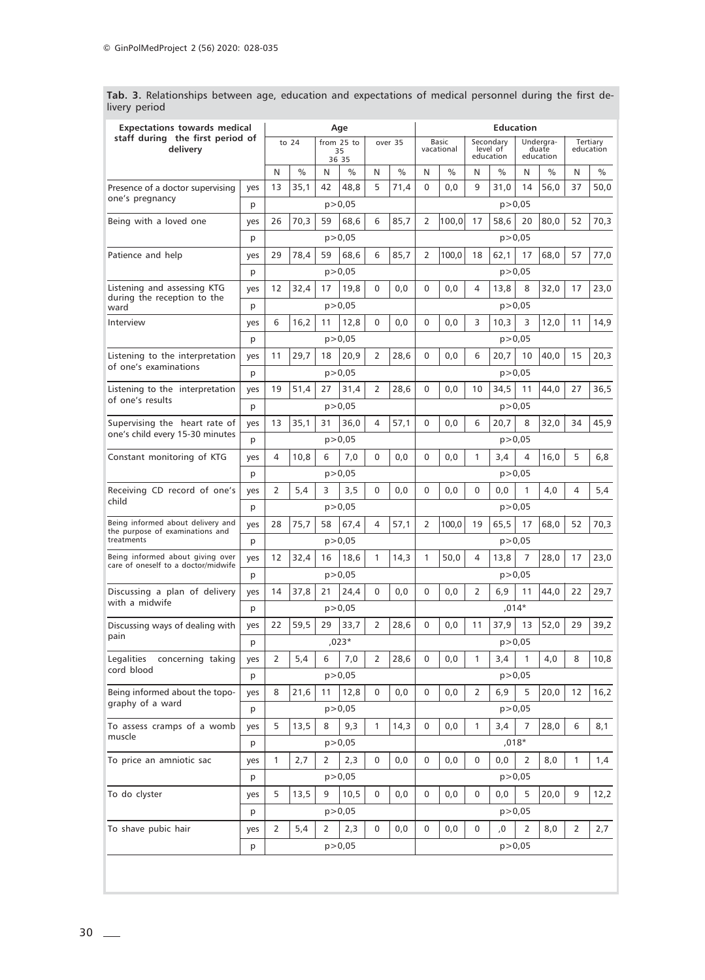| staff during the first period of                    |     |                                      |      |    |          |              |      | <b>Education</b>           |       |                                    |               |                                 |      |                       |      |
|-----------------------------------------------------|-----|--------------------------------------|------|----|----------|--------------|------|----------------------------|-------|------------------------------------|---------------|---------------------------------|------|-----------------------|------|
| delivery                                            |     | to $24$<br>from 25 to<br>35<br>36 35 |      |    |          | over 35      |      | <b>Basic</b><br>vacational |       | Secondary<br>level of<br>education |               | Undergra-<br>duate<br>education |      | Tertiary<br>education |      |
|                                                     |     | N                                    | $\%$ | N  | $\%$     | N            | $\%$ | N                          | $\%$  | N                                  | $\frac{0}{0}$ | N                               | $\%$ | N                     | $\%$ |
| Presence of a doctor supervising<br>one's pregnancy | yes | 13                                   | 35,1 | 42 | 48,8     | 5            | 71,4 | 0                          | 0,0   | 9                                  | 31,0          | 14                              | 56,0 | 37                    | 50,0 |
|                                                     | p   |                                      |      |    | p > 0,05 |              |      |                            |       |                                    |               | p > 0,05                        |      |                       |      |
| Being with a loved one                              | yes | 26                                   | 70,3 | 59 | 68,6     | 6            | 85,7 | 2                          | 100,0 | 17                                 | 58,6          | 20                              | 80,0 | 52                    | 70,3 |
|                                                     | р   |                                      |      |    | p > 0,05 |              |      |                            |       |                                    | p > 0,05      |                                 |      |                       |      |
| Patience and help                                   | yes | 29                                   | 78,4 | 59 | 68,6     | 6            | 85,7 | 2                          | 100,0 | 18                                 | 62,1          | 17                              | 68,0 | 57                    | 77,0 |
|                                                     | р   |                                      |      |    | p > 0.05 |              |      |                            |       |                                    |               | p > 0,05                        |      |                       |      |
| Listening and assessing KTG                         | yes | 12                                   | 32,4 | 17 | 19,8     | 0            | 0,0  | 0                          | 0,0   | 4                                  | 13,8          | 8                               | 32,0 | 17                    | 23,0 |
| during the reception to the<br>ward                 | р   |                                      |      |    | p > 0,05 |              |      |                            |       |                                    |               | p > 0,05                        |      |                       |      |
| Interview                                           | yes | 6                                    | 16,2 | 11 | 12,8     | $\Omega$     | 0,0  | 0                          | 0,0   | 3                                  | 10,3          | 3                               | 12,0 | 11                    | 14,9 |
|                                                     | р   |                                      |      |    | p > 0,05 |              |      |                            |       |                                    |               | p > 0,05                        |      |                       |      |
| Listening to the interpretation                     | yes | 11                                   | 29,7 | 18 | 20,9     | 2            | 28,6 | 0                          | 0,0   | 6                                  | 20,7          | 10                              | 40,0 | 15                    | 20,3 |
| of one's examinations                               | p   |                                      |      |    | p > 0,05 |              |      |                            |       |                                    |               | p > 0.05                        |      |                       |      |
| Listening to the interpretation                     | yes | 19                                   | 51,4 | 27 | 31,4     | 2            | 28,6 | 0                          | 0,0   | 10                                 | 34,5          | 11                              | 44,0 | 27                    | 36,5 |
| of one's results                                    | р   |                                      |      |    | p > 0,05 |              |      |                            |       |                                    |               | p > 0,05                        |      |                       |      |
| Supervising the heart rate of                       | yes | 13                                   | 35,1 | 31 | 36,0     | 4            | 57,1 | 0                          | 0,0   | 6                                  | 20,7          | 8                               | 32,0 | 34                    | 45,9 |
| one's child every 15-30 minutes                     | p   |                                      |      |    | p > 0.05 |              |      |                            |       |                                    | p > 0,05      |                                 |      |                       |      |
| Constant monitoring of KTG                          | yes | 4                                    | 10,8 | 6  | 7,0      | 0            | 0,0  | 0                          | 0,0   | 1                                  | 3,4           | 4                               | 16,0 | 5                     | 6,8  |
|                                                     | р   |                                      |      |    | p > 0,05 |              |      |                            |       |                                    |               | p > 0,05                        |      |                       |      |
| Receiving CD record of one's<br>child               | yes | 2                                    | 5,4  | 3  | 3,5      | 0            | 0,0  | 0                          | 0,0   | 0                                  | 0,0           | $\mathbf{1}$                    | 4,0  | 4                     | 5,4  |
|                                                     | p   |                                      |      |    | p > 0,05 |              |      |                            |       |                                    | p > 0,05      |                                 |      |                       |      |
| Being informed about delivery and                   | yes | 28                                   | 75,7 | 58 | 67,4     | 4            | 57,1 | 2                          | 100,0 | 19                                 | 65,5          | 17                              | 68,0 | 52                    | 70,3 |
| the purpose of examinations and<br>treatments       | p   |                                      |      |    | p > 0,05 |              |      |                            |       |                                    |               | p > 0,05                        |      |                       |      |
| Being informed about giving over                    | yes | 12                                   | 32,4 | 16 | 18,6     | $\mathbf{1}$ | 14,3 | 1                          | 50,0  | 4                                  | 13,8          | 7                               | 28,0 | 17                    | 23,0 |
| care of oneself to a doctor/midwife                 | р   |                                      |      |    | p > 0,05 |              |      |                            |       |                                    |               | p > 0,05                        |      |                       |      |
| Discussing a plan of delivery                       | yes | 14                                   | 37,8 | 21 | 24,4     | 0            | 0,0  | 0                          | 0,0   | 2                                  | 6,9           | 11                              | 44,0 | 22                    | 29,7 |
| with a midwife                                      | p   |                                      |      |    | p > 0,05 |              |      |                            |       |                                    |               | $,014*$                         |      |                       |      |
| Discussing ways of dealing with                     | yes | 22                                   | 59,5 | 29 | 33,7     | 2            | 28,6 | 0                          | 0,0   | 11                                 | 37,9          | 13                              | 52,0 | 29                    | 39,2 |
| pain                                                | p   |                                      |      |    | ,023*    |              |      |                            |       |                                    |               | p > 0.05                        |      |                       |      |
| concerning taking<br>Legalities                     | yes | 2                                    | 5,4  | 6  | 7,0      | 2            | 28,6 | 0                          | 0,0   | 1                                  | 3,4           | $\mathbf{1}$                    | 4,0  | 8                     | 10,8 |
| cord blood                                          | р   |                                      |      |    | p > 0,05 |              |      |                            |       |                                    | p > 0,05      |                                 |      |                       |      |
| Being informed about the topo-                      | yes | 8                                    | 21,6 | 11 | 12,8     | 0            | 0,0  | 0                          | 0,0   | 2                                  | 6,9           | 5                               | 20,0 | 12                    | 16,2 |
| graphy of a ward                                    | p   |                                      |      |    | p > 0.05 |              |      |                            |       |                                    | p > 0,05      |                                 |      |                       |      |
| To assess cramps of a womb                          | yes | 5                                    | 13,5 | 8  | 9,3      | 1            | 14,3 | 0                          | 0,0   | 1                                  | 3,4           | 7                               | 28,0 | 6                     | 8,1  |
| muscle                                              | p   |                                      |      |    | p > 0,05 |              |      |                            |       |                                    |               | ,018*                           |      |                       |      |
| To price an amniotic sac                            | yes | $\mathbf{1}$                         | 2,7  | 2  | 2,3      | 0            | 0,0  | 0                          | 0,0   | 0                                  | 0,0           | 2                               | 8,0  | $\mathbf{1}$          | 1,4  |
|                                                     | p   |                                      |      |    | p > 0,05 |              |      |                            |       |                                    | p > 0.05      |                                 |      |                       |      |
| To do clyster                                       | yes | 5                                    | 13,5 | 9  | 10,5     | 0            | 0,0  | 0                          | 0,0   | 0                                  | 0,0           | 5                               | 20,0 | 9                     | 12,2 |
|                                                     | p   |                                      |      |    | p > 0,05 |              |      |                            |       |                                    | p > 0,05      |                                 |      |                       |      |
|                                                     |     |                                      |      |    |          |              |      |                            |       |                                    |               |                                 |      |                       |      |
| To shave pubic hair                                 | yes | 2                                    | 5,4  | 2  | 2,3      | 0            | 0,0  | 0                          | 0,0   | 0                                  | ,0            | 2                               | 8,0  | 2                     | 2,7  |
|                                                     | p   |                                      |      |    | p > 0,05 |              |      |                            |       |                                    |               | p > 0,05                        |      |                       |      |

**Tab. 3.** Relationships between age, education and expectations of medical personnel during the first delivery period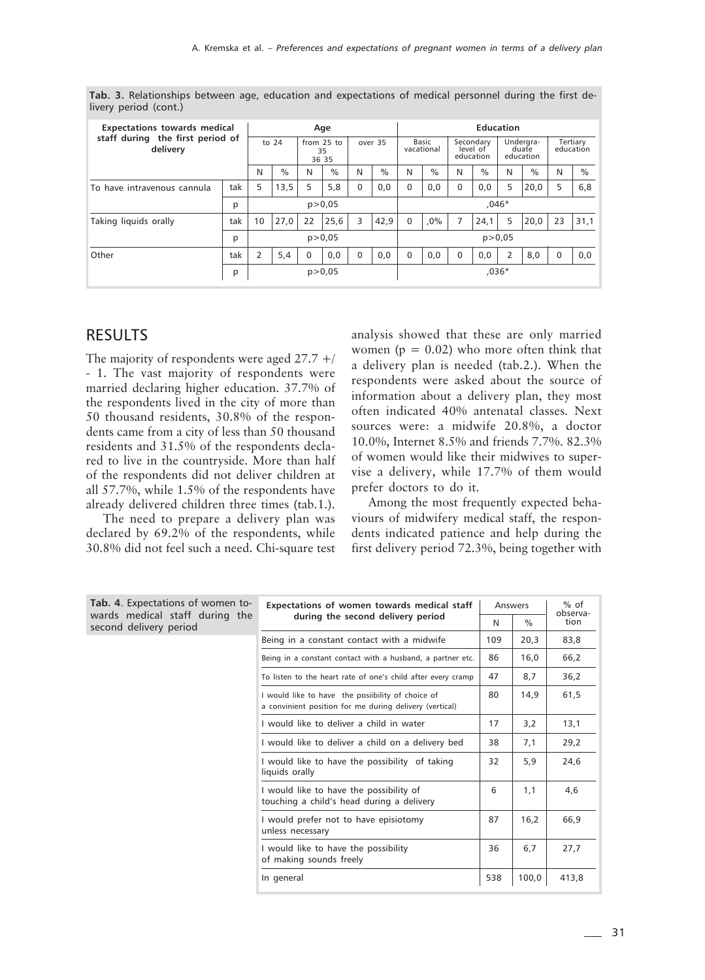| <b>Expectations towards medical</b><br>staff during the first period of<br>delivery |     | Age            |          |                             |          |             |      | <b>Education</b>    |               |                                    |          |                                 |      |                       |      |  |
|-------------------------------------------------------------------------------------|-----|----------------|----------|-----------------------------|----------|-------------|------|---------------------|---------------|------------------------------------|----------|---------------------------------|------|-----------------------|------|--|
|                                                                                     |     | to $24$        |          | from $25$ to<br>35<br>36 35 |          | over 35     |      | Basic<br>vacational |               | Secondary<br>level of<br>education |          | Undergra-<br>duate<br>education |      | Tertiary<br>education |      |  |
|                                                                                     |     | N              | $\%$     | N                           | $\%$     | N           | $\%$ | N                   | $\frac{0}{0}$ | N                                  | $\%$     | N                               | $\%$ | N                     | $\%$ |  |
| To have intravenous cannula                                                         | tak | 5              | 13,5     | 5                           | 5,8      | 0           | 0,0  | $\Omega$            | 0,0           | $\Omega$                           | 0,0      | 5                               | 20,0 | 5                     | 6,8  |  |
|                                                                                     | p   |                | p > 0.05 |                             |          | $.046*$     |      |                     |               |                                    |          |                                 |      |                       |      |  |
| Taking liquids orally                                                               | tak | 10             | 27,0     | 22                          | 25,6     | 3           | 42,9 | $\Omega$            | $.0\%$        | 7                                  | 24,1     | 5                               | 20,0 | 23                    | 31,1 |  |
|                                                                                     | p   |                |          |                             |          | p > 0.05    |      |                     |               |                                    | p > 0.05 |                                 |      |                       |      |  |
| Other                                                                               | tak | $\overline{2}$ | 5,4      | $\mathbf 0$                 | 0,0      | $\mathbf 0$ | 0,0  | $\Omega$            | 0,0           | $\mathbf 0$                        | 0,0      | 2                               | 8,0  | $\Omega$              | 0,0  |  |
|                                                                                     | p   |                |          |                             | p > 0.05 |             |      | $.036*$             |               |                                    |          |                                 |      |                       |      |  |

**Tab. 3.** Relationships between age, education and expectations of medical personnel during the first delivery period (cont.)

#### RESULTS

The majority of respondents were aged 27.7 +/ - 1. The vast majority of respondents were married declaring higher education. 37.7% of the respondents lived in the city of more than 50 thousand residents, 30.8% of the respondents came from a city of less than 50 thousand residents and 31.5% of the respondents declared to live in the countryside. More than half of the respondents did not deliver children at all 57.7%, while 1.5% of the respondents have already delivered children three times (tab.1.).

The need to prepare a delivery plan was declared by 69.2% of the respondents, while 30.8% did not feel such a need. Chi-square test analysis showed that these are only married women ( $p = 0.02$ ) who more often think that a delivery plan is needed (tab.2.). When the respondents were asked about the source of information about a delivery plan, they most often indicated 40% antenatal classes. Next sources were: a midwife 20.8%, a doctor 10.0%, Internet 8.5% and friends 7.7%. 82.3% of women would like their midwives to supervise a delivery, while 17.7% of them would prefer doctors to do it.

Among the most frequently expected behaviours of midwifery medical staff, the respondents indicated patience and help during the first delivery period 72.3%, being together with

| Tab. 4. Expectations of women to-                        | Expectations of women towards medical staff                                                                  | Answers |       | $%$ of<br>observa- |  |
|----------------------------------------------------------|--------------------------------------------------------------------------------------------------------------|---------|-------|--------------------|--|
| wards medical staff during the<br>second delivery period | during the second delivery period                                                                            | N       | $\%$  | tion               |  |
|                                                          | Being in a constant contact with a midwife                                                                   | 109     | 20,3  | 83,8               |  |
|                                                          | Being in a constant contact with a husband, a partner etc.                                                   | 86      | 16,0  | 66,2               |  |
|                                                          | To listen to the heart rate of one's child after every cramp                                                 | 47      | 8,7   | 36,2               |  |
|                                                          | I would like to have the posiibility of choice of<br>a convinient position for me during delivery (vertical) | 80      | 14,9  | 61,5               |  |
|                                                          | I would like to deliver a child in water                                                                     | 17      | 3,2   | 13,1               |  |
|                                                          | I would like to deliver a child on a delivery bed                                                            | 38      | 7,1   | 29,2               |  |
|                                                          | I would like to have the possibility of taking<br>liquids orally                                             | 32      | 5,9   | 24,6               |  |
|                                                          | I would like to have the possibility of<br>touching a child's head during a delivery                         | 6       | 1,1   | 4,6                |  |
|                                                          | I would prefer not to have episiotomy<br>unless necessary                                                    | 87      | 16.2  | 66,9               |  |
|                                                          | I would like to have the possibility<br>of making sounds freely                                              | 36      | 6,7   | 27,7               |  |
|                                                          | In general                                                                                                   | 538     | 100,0 | 413,8              |  |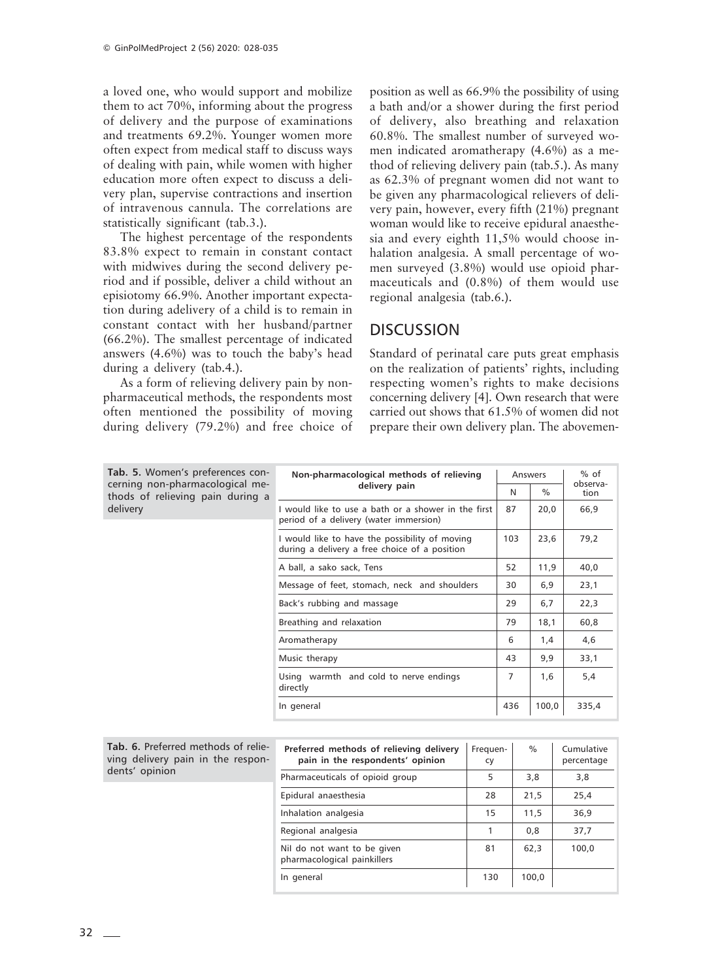a loved one, who would support and mobilize them to act 70%, informing about the progress of delivery and the purpose of examinations and treatments 69.2%. Younger women more often expect from medical staff to discuss ways of dealing with pain, while women with higher education more often expect to discuss a delivery plan, supervise contractions and insertion of intravenous cannula. The correlations are statistically significant (tab.3.).

The highest percentage of the respondents 83.8% expect to remain in constant contact with midwives during the second delivery period and if possible, deliver a child without an episiotomy 66.9%. Another important expectation during adelivery of a child is to remain in constant contact with her husband/partner (66.2%). The smallest percentage of indicated answers (4.6%) was to touch the baby's head during a delivery (tab.4.).

As a form of relieving delivery pain by nonpharmaceutical methods, the respondents most often mentioned the possibility of moving during delivery (79.2%) and free choice of

position as well as 66.9% the possibility of using a bath and/or a shower during the first period of delivery, also breathing and relaxation 60.8%. The smallest number of surveyed women indicated aromatherapy (4.6%) as a method of relieving delivery pain (tab.5.). As many as 62.3% of pregnant women did not want to be given any pharmacological relievers of delivery pain, however, every fifth (21%) pregnant woman would like to receive epidural anaesthesia and every eighth 11,5% would choose inhalation analgesia. A small percentage of women surveyed (3.8%) would use opioid pharmaceuticals and (0.8%) of them would use regional analgesia (tab.6.).

### **DISCUSSION**

Standard of perinatal care puts great emphasis on the realization of patients' rights, including respecting women's rights to make decisions concerning delivery [4]. Own research that were carried out shows that 61.5% of women did not prepare their own delivery plan. The abovemen-

| Tab. 5. Women's preferences con-                                    | Non-pharmacological methods of relieving                                                        | Answers |       | $%$ of<br>observa- |  |
|---------------------------------------------------------------------|-------------------------------------------------------------------------------------------------|---------|-------|--------------------|--|
| cerning non-pharmacological me-<br>thods of relieving pain during a | delivery pain                                                                                   | N       | $\%$  | tion               |  |
| delivery                                                            | I would like to use a bath or a shower in the first<br>period of a delivery (water immersion)   | 87      | 20,0  | 66,9               |  |
|                                                                     | I would like to have the possibility of moving<br>during a delivery a free choice of a position | 103     | 23,6  | 79,2               |  |
|                                                                     | A ball, a sako sack, Tens                                                                       | 52      | 11,9  | 40,0               |  |
|                                                                     | Message of feet, stomach, neck and shoulders                                                    | 30      | 6,9   | 23,1               |  |
|                                                                     | Back's rubbing and massage                                                                      | 29      | 6,7   | 22,3               |  |
|                                                                     | Breathing and relaxation                                                                        | 79      | 18,1  | 60,8               |  |
|                                                                     | Aromatherapy                                                                                    | 6       | 1,4   | 4,6                |  |
|                                                                     | Music therapy                                                                                   | 43      | 9,9   | 33,1               |  |
|                                                                     | Using warmth and cold to nerve endings<br>directly                                              | 7       | 1,6   | 5,4                |  |
|                                                                     | In general                                                                                      | 436     | 100,0 | 335,4              |  |

| Tab. 6. Preferred methods of relie- |  |  |
|-------------------------------------|--|--|
| ving delivery pain in the respon-   |  |  |
| dents' opinion                      |  |  |

| Preferred methods of relieving delivery<br>pain in the respondents' opinion | Frequen-<br>cy | $\%$  | Cumulative<br>percentage |
|-----------------------------------------------------------------------------|----------------|-------|--------------------------|
| Pharmaceuticals of opioid group                                             | 5              | 3,8   | 3,8                      |
| Epidural anaesthesia                                                        | 28             | 21,5  | 25,4                     |
| Inhalation analgesia                                                        | 15             | 11,5  | 36,9                     |
| Regional analgesia                                                          |                | 0,8   | 37,7                     |
| Nil do not want to be given<br>pharmacological painkillers                  | 81             | 62,3  | 100,0                    |
| In general                                                                  | 130            | 100,0 |                          |
|                                                                             |                |       |                          |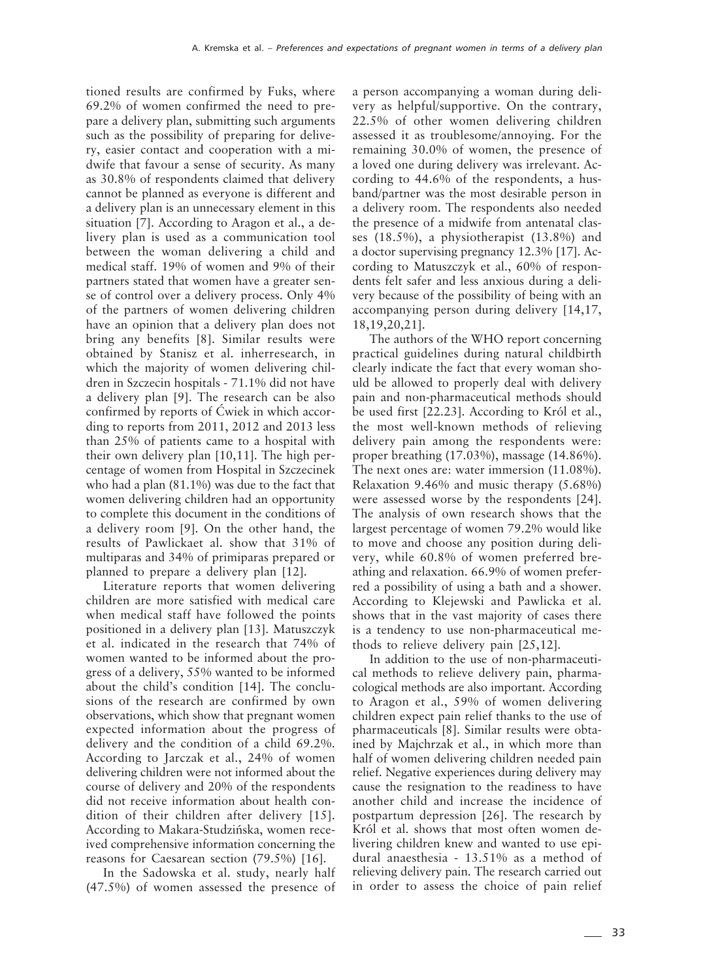tioned results are confirmed by Fuks, where 69.2% of women confirmed the need to prepare a delivery plan, submitting such arguments such as the possibility of preparing for delivery, easier contact and cooperation with a midwife that favour a sense of security. As many as 30.8% of respondents claimed that delivery cannot be planned as everyone is different and a delivery plan is an unnecessary element in this situation [7]. According to Aragon et al., a delivery plan is used as a communication tool between the woman delivering a child and medical staff. 19% of women and 9% of their partners stated that women have a greater sense of control over a delivery process. Only 4% of the partners of women delivering children have an opinion that a delivery plan does not bring any benefits [8]. Similar results were obtained by Stanisz et al. inherresearch, in which the majority of women delivering children in Szczecin hospitals - 71.1% did not have a delivery plan [9]. The research can be also confirmed by reports of Ćwiek in which according to reports from 2011, 2012 and 2013 less than 25% of patients came to a hospital with their own delivery plan [10,11]. The high percentage of women from Hospital in Szczecinek who had a plan (81.1%) was due to the fact that women delivering children had an opportunity to complete this document in the conditions of a delivery room [9]. On the other hand, the results of Pawlickaet al. show that 31% of multiparas and 34% of primiparas prepared or planned to prepare a delivery plan [12].

Literature reports that women delivering children are more satisfied with medical care when medical staff have followed the points positioned in a delivery plan [13]. Matuszczyk et al. indicated in the research that 74% of women wanted to be informed about the progress of a delivery, 55% wanted to be informed about the child's condition [14]. The conclusions of the research are confirmed by own observations, which show that pregnant women expected information about the progress of delivery and the condition of a child 69.2%. According to Jarczak et al., 24% of women delivering children were not informed about the course of delivery and 20% of the respondents did not receive information about health condition of their children after delivery [15]. According to Makara-Studzińska, women received comprehensive information concerning the reasons for Caesarean section (79.5%) [16].

In the Sadowska et al. study, nearly half (47.5%) of women assessed the presence of a person accompanying a woman during delivery as helpful/supportive. On the contrary, 22.5% of other women delivering children assessed it as troublesome/annoying. For the remaining 30.0% of women, the presence of a loved one during delivery was irrelevant. According to 44.6% of the respondents, a husband/partner was the most desirable person in a delivery room. The respondents also needed the presence of a midwife from antenatal classes (18.5%), a physiotherapist (13.8%) and a doctor supervising pregnancy 12.3% [17]. According to Matuszczyk et al., 60% of respondents felt safer and less anxious during a delivery because of the possibility of being with an accompanying person during delivery [14,17, 18,19,20,21].

The authors of the WHO report concerning practical guidelines during natural childbirth clearly indicate the fact that every woman should be allowed to properly deal with delivery pain and non-pharmaceutical methods should be used first [22.23]. According to Król et al., the most well-known methods of relieving delivery pain among the respondents were: proper breathing (17.03%), massage (14.86%). The next ones are: water immersion (11.08%). Relaxation 9.46% and music therapy (5.68%) were assessed worse by the respondents [24]. The analysis of own research shows that the largest percentage of women 79.2% would like to move and choose any position during delivery, while 60.8% of women preferred breathing and relaxation. 66.9% of women preferred a possibility of using a bath and a shower. According to Klejewski and Pawlicka et al. shows that in the vast majority of cases there is a tendency to use non-pharmaceutical methods to relieve delivery pain [25,12].

In addition to the use of non-pharmaceutical methods to relieve delivery pain, pharmacological methods are also important. According to Aragon et al., 59% of women delivering children expect pain relief thanks to the use of pharmaceuticals [8]. Similar results were obtained by Majchrzak et al., in which more than half of women delivering children needed pain relief. Negative experiences during delivery may cause the resignation to the readiness to have another child and increase the incidence of postpartum depression [26]. The research by Król et al. shows that most often women delivering children knew and wanted to use epidural anaesthesia - 13.51% as a method of relieving delivery pain. The research carried out in order to assess the choice of pain relief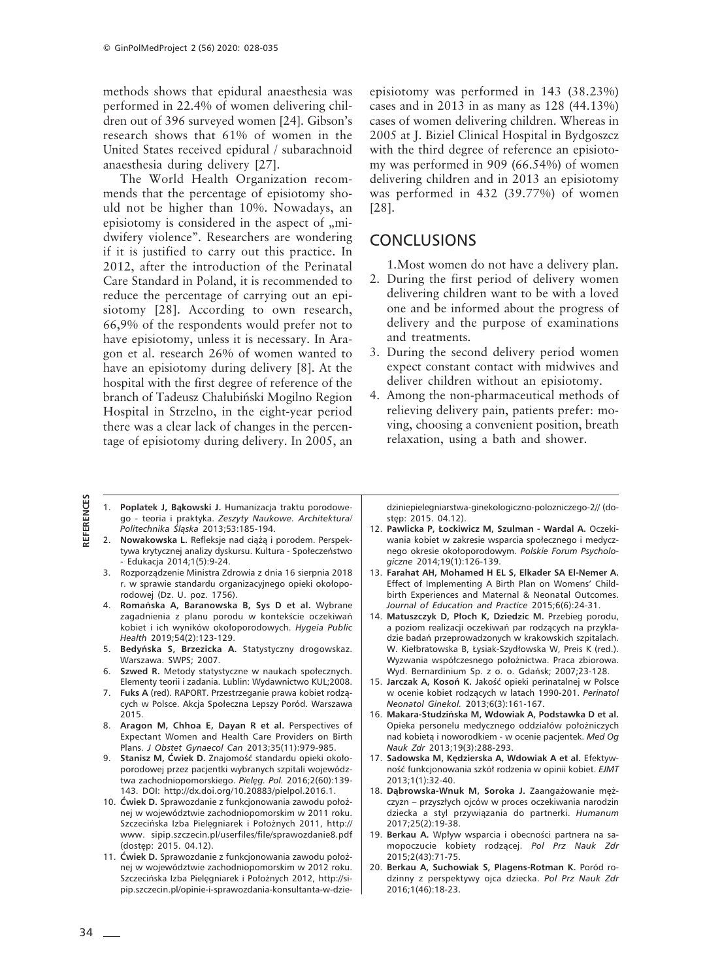methods shows that epidural anaesthesia was performed in 22.4% of women delivering children out of 396 surveyed women [24]. Gibson's research shows that 61% of women in the United States received epidural / subarachnoid anaesthesia during delivery [27].

The World Health Organization recommends that the percentage of episiotomy should not be higher than 10%. Nowadays, an episiotomy is considered in the aspect of "midwifery violence". Researchers are wondering if it is justified to carry out this practice. In 2012, after the introduction of the Perinatal Care Standard in Poland, it is recommended to reduce the percentage of carrying out an episiotomy [28]. According to own research, 66,9% of the respondents would prefer not to have episiotomy, unless it is necessary. In Aragon et al. research 26% of women wanted to have an episiotomy during delivery [8]. At the hospital with the first degree of reference of the branch of Tadeusz Chałubiński Mogilno Region Hospital in Strzelno, in the eight-year period there was a clear lack of changes in the percentage of episiotomy during delivery. In 2005, an episiotomy was performed in 143 (38.23%) cases and in 2013 in as many as 128 (44.13%) cases of women delivering children. Whereas in 2005 at J. Biziel Clinical Hospital in Bydgoszcz with the third degree of reference an episiotomy was performed in 909 (66.54%) of women delivering children and in 2013 an episiotomy was performed in 432 (39.77%) of women [28].

#### **CONCLUSIONS**

1.Most women do not have a delivery plan.

- 2. During the first period of delivery women delivering children want to be with a loved one and be informed about the progress of delivery and the purpose of examinations and treatments.
- 3. During the second delivery period women expect constant contact with midwives and deliver children without an episiotomy.
- 4. Among the non-pharmaceutical methods of relieving delivery pain, patients prefer: moving, choosing a convenient position, breath relaxation, using a bath and shower.

- 1. **Poplatek J, Bąkowski J.** Humanizacja traktu porodowego - teoria i praktyka. *Zeszyty Naukowe. Architektura/ Politechnika Śląska* 2013;53:185-194.
- 2. **Nowakowska L.** Refleksje nad ciążą i porodem. Perspektywa krytycznej analizy dyskursu. Kultura - Społeczeństwo - Edukacja 2014;1(5):9-24.
- 3. Rozporządzenie Ministra Zdrowia z dnia 16 sierpnia 2018 r. w sprawie standardu organizacyjnego opieki okołoporodowej (Dz. U. poz. 1756).
- 4. **Romańska A, Baranowska B, Sys D et al.** Wybrane zagadnienia z planu porodu w kontekście oczekiwań kobiet i ich wyników okołoporodowych. *Hygeia Public Health* 2019;54(2):123-129.
- 5. **Bedyńska S, Brzezicka A.** Statystyczny drogowskaz. Warszawa. SWPS; 2007.
- 6. **Szwed R.** Metody statystyczne w naukach społecznych. Elementy teorii i zadania. Lublin: Wydawnictwo KUL;2008.
- 7. **Fuks A** (red). RAPORT. Przestrzeganie prawa kobiet rodzących w Polsce. Akcja Społeczna Lepszy Poród. Warszawa 2015.
- 8. **Aragon M, Chhoa E, Dayan R et al.** Perspectives of Expectant Women and Health Care Providers on Birth Plans. *J Obstet Gynaecol Can* 2013;35(11):979-985.
- 9. **Stanisz M, Ćwiek D.** Znajomość standardu opieki okołoporodowej przez pacjentki wybranych szpitali województwa zachodniopomorskiego. *Pielęg. Pol.* 2016;2(60):139- 143. DOI: http://dx.doi.org/10.20883/pielpol.2016.1.
- 10. **Ćwiek D.** Sprawozdanie z funkcjonowania zawodu położnej w województwie zachodniopomorskim w 2011 roku. Szczecińska Izba Pielęgniarek i Położnych 2011, http:// www. sipip.szczecin.pl/userfiles/file/sprawozdanie8.pdf (dostęp: 2015. 04.12).
- 11. **Ćwiek D.** Sprawozdanie z funkcjonowania zawodu położnej w województwie zachodniopomorskim w 2012 roku. Szczecińska Izba Pielęgniarek i Położnych 2012, http://sipip.szczecin.pl/opinie-i-sprawozdania-konsultanta-w-dzie-

dziniepielegniarstwa-ginekologiczno-polozniczego-2// (dostęp: 2015. 04.12).

- 12. **Pawlicka P, Łockiwicz M, Szulman Wardal A.** Oczekiwania kobiet w zakresie wsparcia społecznego i medycznego okresie okołoporodowym. *Polskie Forum Psychologiczne* 2014;19(1):126-139.
- 13. **Farahat AH, Mohamed H EL S, Elkader SA El-Nemer A.** Effect of Implementing A Birth Plan on Womens' Childbirth Experiences and Maternal & Neonatal Outcomes. *Journal of Education and Practice* 2015;6(6):24-31.
- 14. **Matuszczyk D, Płoch K, Dziedzic M.** Przebieg porodu, a poziom realizacji oczekiwań par rodzących na przykładzie badań przeprowadzonych w krakowskich szpitalach. W. Kiełbratowska B, Łysiak-Szydłowska W, Preis K (red.). Wyzwania współczesnego położnictwa. Praca zbiorowa. Wyd. Bernardinium Sp. z o. o. Gdańsk; 2007;23-128.
- 15. **Jarczak A, Kosoń K.** Jakość opieki perinatalnej w Polsce w ocenie kobiet rodzących w latach 1990-201. *Perinatol Neonatol Ginekol.* 2013;6(3):161-167.
- 16. **Makara-Studzińska M, Wdowiak A, Podstawka D et al.** Opieka personelu medycznego oddziałów położniczych nad kobietą i noworodkiem - w ocenie pacjentek. *Med Og Nauk Zdr* 2013;19(3):288-293.
- 17. **Sadowska M, Kędzierska A, Wdowiak A et al.** Efektywność funkcjonowania szkół rodzenia w opinii kobiet. *EJMT* 2013;1(1):32-40.
- 18. **Dąbrowska-Wnuk M, Soroka J.** Zaangażowanie mężczyzn – przyszłych ojców w proces oczekiwania narodzin dziecka a styl przywiązania do partnerki. *Humanum* 2017;25(2):19-38.
- 19. **Berkau A.** Wpływ wsparcia i obecności partnera na samopoczucie kobiety rodzącej. *Pol Prz Nauk Zdr* 2015;2(43):71-75.
- 20. **Berkau A, Suchowiak S, Plagens-Rotman K.** Poród rodzinny z perspektywy ojca dziecka. *Pol Prz Nauk Zdr* 2016;1(46):18-23.